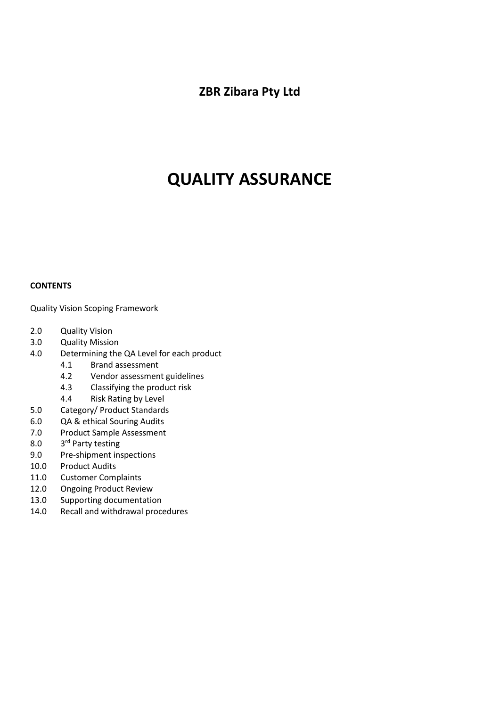**ZBR Zibara Pty Ltd**

# **QUALITY ASSURANCE**

# **CONTENTS**

Quality Vision Scoping Framework

- 2.0 Quality Vision
- 3.0 Quality Mission
- 4.0 Determining the QA Level for each product
	- 4.1 Brand assessment
	- 4.2 Vendor assessment guidelines
	- 4.3 Classifying the product risk
	- 4.4 Risk Rating by Level
- 5.0 Category/ Product Standards
- 6.0 QA & ethical Souring Audits
- 7.0 Product Sample Assessment
- $8.0$ 3rd Party testing
- 9.0 Pre-shipment inspections
- 10.0 Product Audits
- 11.0 Customer Complaints
- 12.0 Ongoing Product Review
- 13.0 Supporting documentation
- 14.0 Recall and withdrawal procedures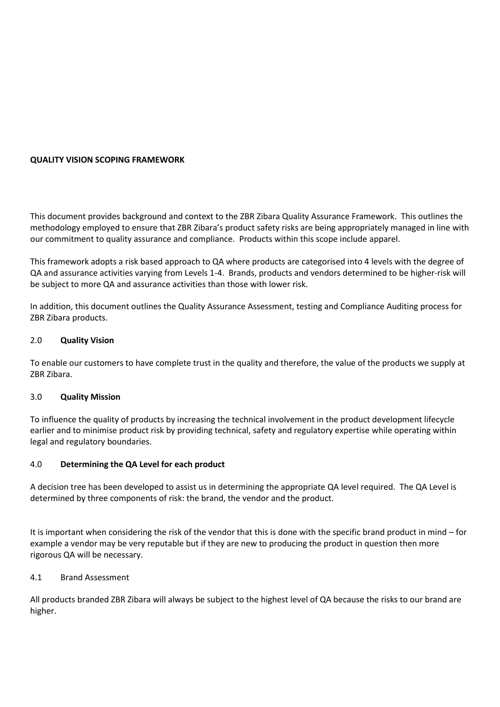# **QUALITY VISION SCOPING FRAMEWORK**

This document provides background and context to the ZBR Zibara Quality Assurance Framework. This outlines the methodology employed to ensure that ZBR Zibara's product safety risks are being appropriately managed in line with our commitment to quality assurance and compliance. Products within this scope include apparel.

This framework adopts a risk based approach to QA where products are categorised into 4 levels with the degree of QA and assurance activities varying from Levels 1-4. Brands, products and vendors determined to be higher-risk will be subject to more QA and assurance activities than those with lower risk.

In addition, this document outlines the Quality Assurance Assessment, testing and Compliance Auditing process for ZBR Zibara products.

# 2.0 **Quality Vision**

To enable our customers to have complete trust in the quality and therefore, the value of the products we supply at ZBR Zibara.

# 3.0 **Quality Mission**

To influence the quality of products by increasing the technical involvement in the product development lifecycle earlier and to minimise product risk by providing technical, safety and regulatory expertise while operating within legal and regulatory boundaries.

# 4.0 **Determining the QA Level for each product**

A decision tree has been developed to assist us in determining the appropriate QA level required. The QA Level is determined by three components of risk: the brand, the vendor and the product.

It is important when considering the risk of the vendor that this is done with the specific brand product in mind – for example a vendor may be very reputable but if they are new to producing the product in question then more rigorous QA will be necessary.

# 4.1 Brand Assessment

All products branded ZBR Zibara will always be subject to the highest level of QA because the risks to our brand are higher.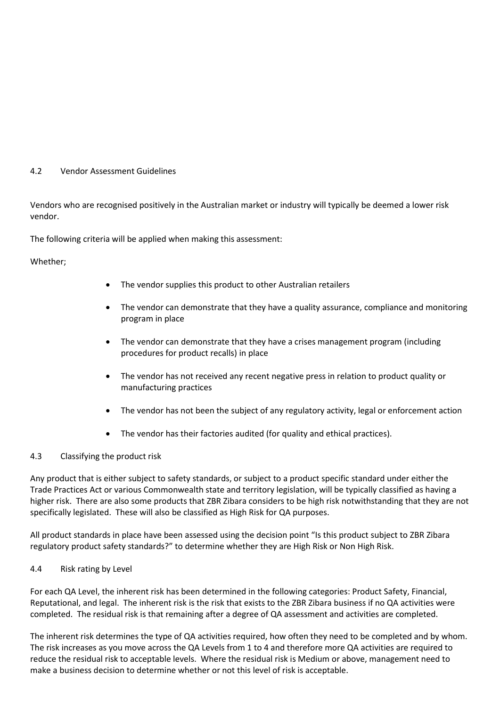# 4.2 Vendor Assessment Guidelines

Vendors who are recognised positively in the Australian market or industry will typically be deemed a lower risk vendor.

The following criteria will be applied when making this assessment:

Whether;

- The vendor supplies this product to other Australian retailers
- The vendor can demonstrate that they have a quality assurance, compliance and monitoring program in place
- The vendor can demonstrate that they have a crises management program (including procedures for product recalls) in place
- The vendor has not received any recent negative press in relation to product quality or manufacturing practices
- The vendor has not been the subject of any regulatory activity, legal or enforcement action
- The vendor has their factories audited (for quality and ethical practices).

# 4.3 Classifying the product risk

Any product that is either subject to safety standards, or subject to a product specific standard under either the Trade Practices Act or various Commonwealth state and territory legislation, will be typically classified as having a higher risk. There are also some products that ZBR Zibara considers to be high risk notwithstanding that they are not specifically legislated. These will also be classified as High Risk for QA purposes.

All product standards in place have been assessed using the decision point "Is this product subject to ZBR Zibara regulatory product safety standards?" to determine whether they are High Risk or Non High Risk.

# 4.4 Risk rating by Level

For each QA Level, the inherent risk has been determined in the following categories: Product Safety, Financial, Reputational, and legal. The inherent risk is the risk that exists to the ZBR Zibara business if no QA activities were completed. The residual risk is that remaining after a degree of QA assessment and activities are completed.

The inherent risk determines the type of QA activities required, how often they need to be completed and by whom. The risk increases as you move across the QA Levels from 1 to 4 and therefore more QA activities are required to reduce the residual risk to acceptable levels. Where the residual risk is Medium or above, management need to make a business decision to determine whether or not this level of risk is acceptable.